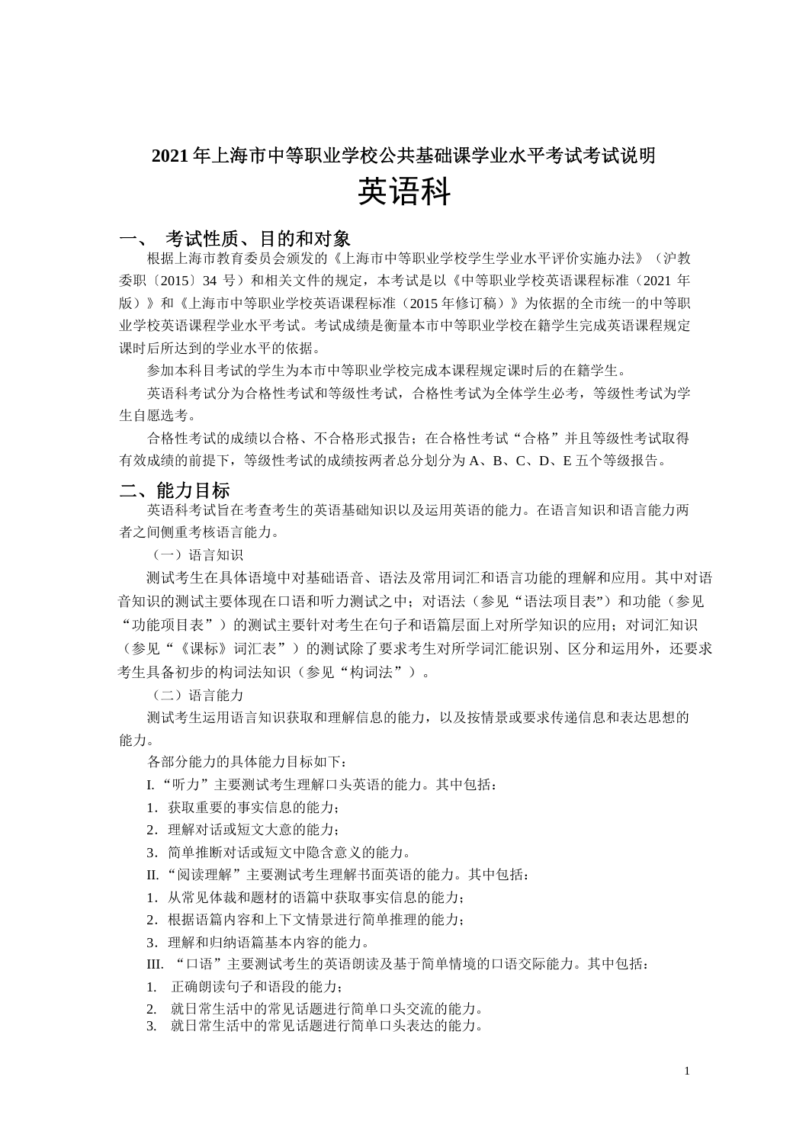# **2021** 年上海市中等职业学校公共基础课学业水平考试考试说明 英语科

# 考试性质、目的和对象

根据上海市教育委员会颁发的《上海市中等职业学校学生学业水平评价实施办法》(沪教 委职〔2015〕34 号)和相关文件的规定,本考试是以《中等职业学校英语课程标准(2021 年 版)》和《上海市中等职业学校英语课程标准(2015 年修订稿)》为依据的全市统一的中等职 业学校英语课程学业水平考试。考试成绩是衡量本市中等职业学校在籍学生完成英语课程规定 课时后所达到的学业水平的依据。

参加本科目考试的学生为本市中等职业学校完成本课程规定课时后的在籍学生。

英语科考试分为合格性考试和等级性考试,合格性考试为全体学生必考,等级性考试为学 生自愿选考。

合格性考试的成绩以合格、不合格形式报告;在合格性考试"合格"并且等级性考试取得 有效成绩的前提下,等级性考试的成绩按两者总分划分为 A、B、C、D、E 五个等级报告。

# 二、能力目标

英语科考试旨在考查考生的英语基础知识以及运用英语的能力。在语言知识和语言能力两 者之间侧重考核语言能力。

(一)语言知识

测试考生在具体语境中对基础语音、语法及常用词汇和语言功能的理解和应用。其中对语 音知识的测试主要体现在口语和听力测试之中;对语法(参见"语法项目表")和功能(参见 "功能项目表")的测试主要针对考生在句子和语篇层面上对所学知识的应用;对词汇知识 (参见"《课标》词汇表")的测试除了要求考生对所学词汇能识别、区分和运用外,还要求 考生具备初步的构词法知识(参见"构词法")。

(二)语言能力

测试考生运用语言知识获取和理解信息的能力,以及按情景或要求传递信息和表达思想的 能力。

各部分能力的具体能力目标如下:

- I."听力"主要测试考生理解口头英语的能力。其中包括:
- 1.获取重要的事实信息的能力;
- 2.理解对话或短文大意的能力;
- 3.简单推断对话或短文中隐含意义的能力。
- II. "阅读理解"主要测试考生理解书面英语的能力。其中包括:
- 1.从常见体裁和题材的语篇中获取事实信息的能力;
- 2.根据语篇内容和上下文情景进行简单推理的能力;
- 3.理解和归纳语篇基本内容的能力。

III. "口语"主要测试考生的英语朗读及基于简单情境的口语交际能力。其中包括:

1. 正确朗读句子和语段的能力;

- 2. 就日常生活中的常见话题进行简单口头交流的能力。
- 3. 就日常生活中的常见话题进行简单口头表达的能力。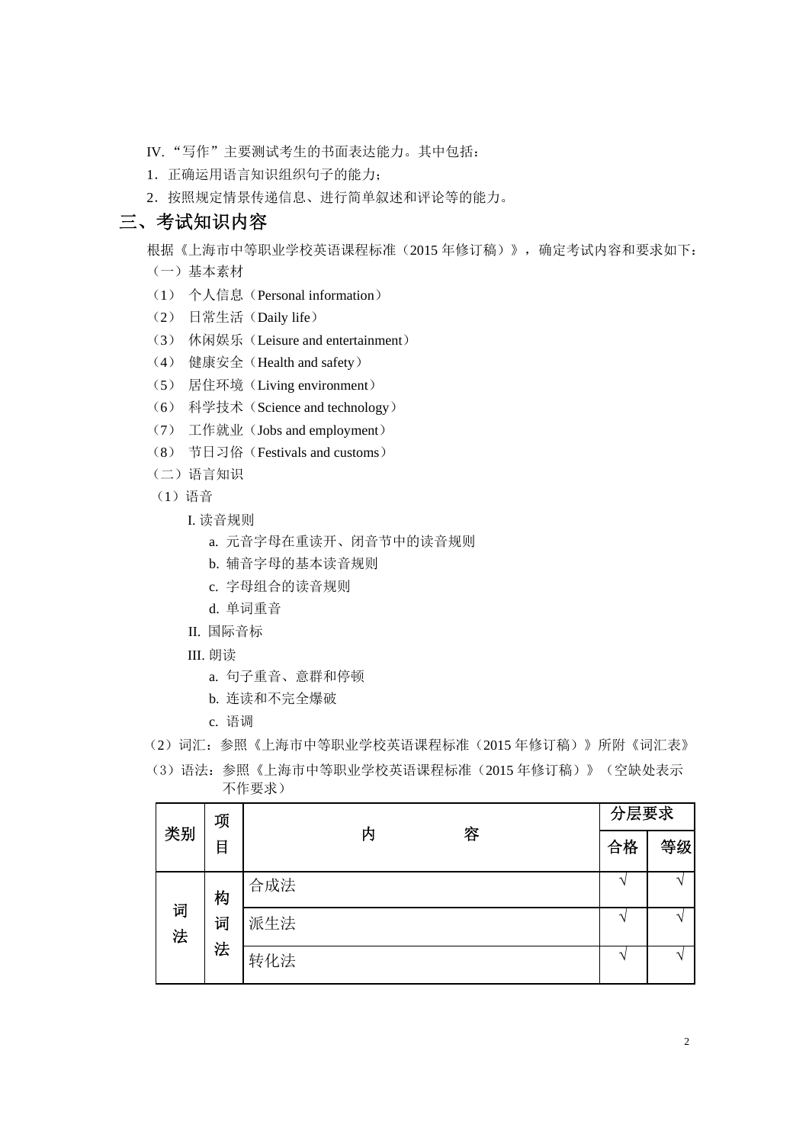- IV. "写作"主要测试考生的书面表达能力。其中包括:
- 1.正确运用语言知识组织句子的能力;
- 2.按照规定情景传递信息、进行简单叙述和评论等的能力。

# 三、考试知识内容

根据《上海市中等职业学校英语课程标准(2015 年修订稿)》,确定考试内容和要求如下: (一)基本素材

- 
- (1) 个人信息(Personal information)
- (2) 日常生活(Daily life)
- (3) 休闲娱乐(Leisure and entertainment)
- (4) 健康安全(Health and safety)
- (5) 居住环境(Living environment)
- (6) 科学技术(Science and technology)
- (7) 工作就业(Jobs and employment)
- (8) 节日习俗(Festivals and customs)
- (二)语言知识
- (1)语音
	- I. 读音规则
		- a. 元音字母在重读开、闭音节中的读音规则
		- b. 辅音字母的基本读音规则
		- c. 字母组合的读音规则
		- d. 单词重音
	- II. 国际音标
	- III. 朗读
		- a. 句子重音、意群和停顿
		- b. 连读和不完全爆破
		- c. 语调
- (2)词汇:参照《上海市中等职业学校英语课程标准(2015 年修订稿)》所附《词汇表》
- (3)语法:参照《上海市中等职业学校英语课程标准(2015 年修订稿)》(空缺处表示 不作要求)

|    | 项<br>目 |        | 分层要求 |    |
|----|--------|--------|------|----|
| 类别 |        | 容<br>内 | 合格   | 等级 |
|    | 构      | 合成法    |      |    |
| 词法 | 词      | 派生法    |      | ٦  |
|    | 法      | 转化法    |      |    |

2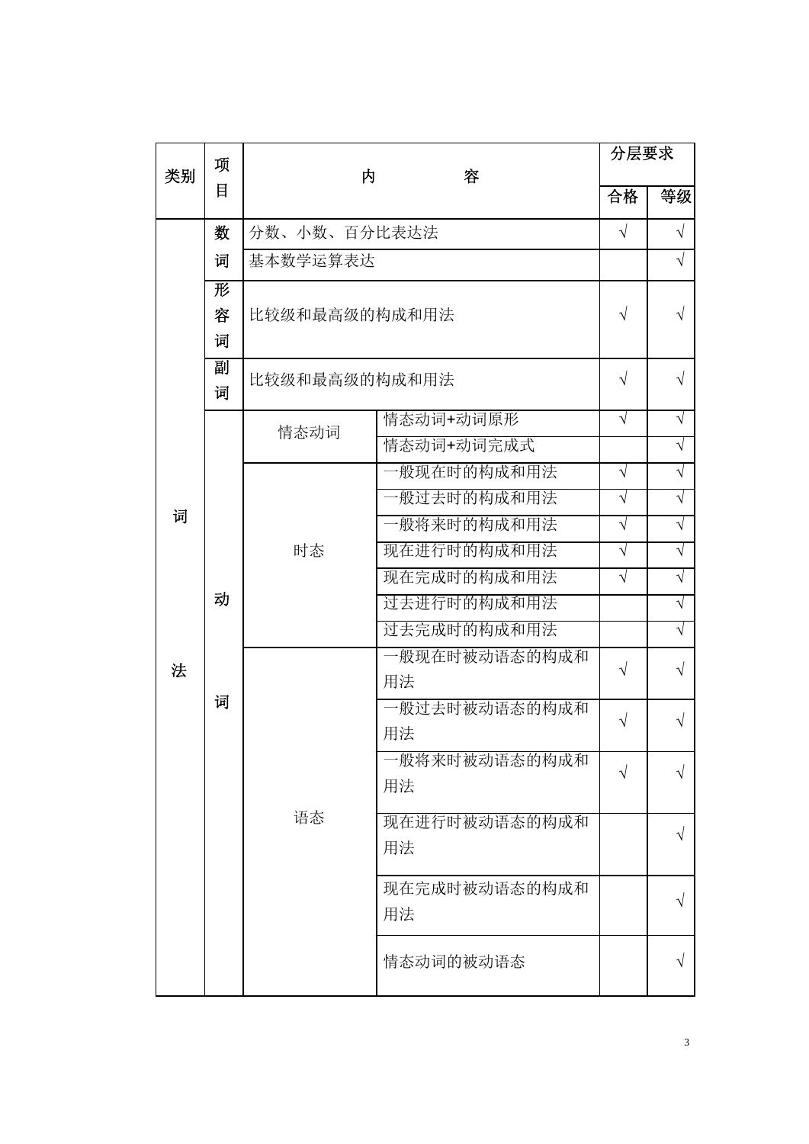|    | 项      | 内             |                     | 分层要求       |            |
|----|--------|---------------|---------------------|------------|------------|
| 类别 | 目      |               | 容                   | 合格         | 等级         |
|    | 数      | 分数、小数、百分比表达法  |                     | $\sqrt{ }$ | $\sqrt{ }$ |
|    | 词      | 基本数学运算表达      |                     |            | $\sqrt{ }$ |
|    | 形      |               |                     |            |            |
|    | 容      | 比较级和最高级的构成和用法 |                     | $\sqrt{}$  | $\sqrt{}$  |
|    | 词      |               |                     |            |            |
|    | 副<br>词 | 比较级和最高级的构成和用法 |                     | $\sqrt{}$  | $\sqrt{}$  |
|    |        | 情态动词          | 情态动词+动词原形           | $\sqrt{}$  | $\sqrt{}$  |
|    |        |               | 情态动词+动词完成式          |            | $\sqrt{}$  |
|    |        |               | 一般现在时的构成和用法         | $\sqrt{}$  | $\sqrt{}$  |
|    |        |               | 一般过去时的构成和用法         | $\sqrt{ }$ | $\sqrt{}$  |
| 词  |        | 时态            | 一般将来时的构成和用法         | $\sqrt{}$  | $\sqrt{}$  |
|    |        |               | 现在进行时的构成和用法         | $\sqrt{}$  | $\sqrt{}$  |
|    |        |               | 现在完成时的构成和用法         | $\sqrt{ }$ | $\sqrt{}$  |
|    | 动      |               | 过去进行时的构成和用法         |            | $\sqrt{}$  |
|    |        |               | 过去完成时的构成和用法         |            | $\sqrt{}$  |
| 法  |        |               | 一般现在时被动语态的构成和<br>用法 | $\sqrt{}$  | $\sqrt{}$  |
|    | 词      |               | 一般过去时被动语态的构成和<br>用法 | $\sqrt{}$  |            |
|    |        |               | 一般将来时被动语态的构成和<br>用法 | $\sqrt{}$  | V          |
|    |        | 语态            | 现在进行时被动语态的构成和<br>用法 |            | $\sqrt{}$  |
|    |        |               | 现在完成时被动语态的构成和<br>用法 |            |            |
|    |        |               | 情态动词的被动语态           |            | V          |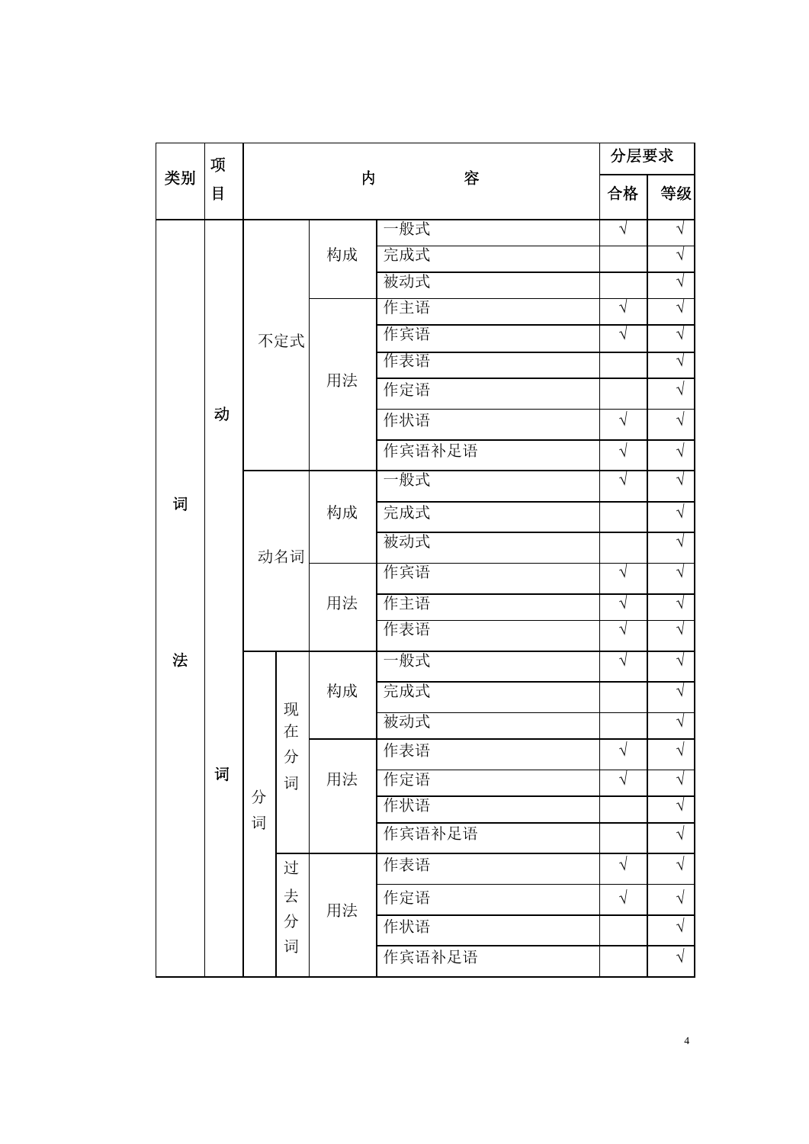|    | 项 |                  |     |        |        | 分层要求       |           |            |
|----|---|------------------|-----|--------|--------|------------|-----------|------------|
| 类别 | 目 |                  |     | 内      | 容      | 合格         | 等级        |            |
|    |   |                  |     |        | 一般式    | $\sqrt{}$  | $\sqrt{}$ |            |
|    |   |                  |     | 构成     | 完成式    |            | $\sqrt{}$ |            |
|    |   |                  |     |        | 被动式    |            | $\sqrt{}$ |            |
|    |   |                  |     |        | 作主语    | $\sqrt{}$  | $\sqrt{}$ |            |
|    |   |                  | 不定式 |        | 作宾语    | $\sqrt{}$  | $\sqrt{}$ |            |
|    |   |                  |     | 用法     | 作表语    |            | $\sqrt{}$ |            |
|    |   |                  |     |        | 作定语    |            | $\sqrt{}$ |            |
|    | 动 |                  |     |        | 作状语    | $\sqrt{ }$ | $\sqrt{}$ |            |
|    |   |                  |     |        | 作宾语补足语 | $\sqrt{}$  | $\sqrt{}$ |            |
|    |   |                  |     |        | 一般式    | $\sqrt{ }$ | $\sqrt{}$ |            |
| 词  |   |                  |     |        | 构成     | 完成式        |           | $\sqrt{ }$ |
|    |   |                  | 动名词 |        | 被动式    |            | $\sqrt{}$ |            |
|    |   |                  |     |        | 作宾语    | $\sqrt{ }$ | $\sqrt{}$ |            |
|    |   |                  |     |        | 用法     | 作主语        | $\sqrt{}$ | $\sqrt{}$  |
|    |   |                  |     |        | 作表语    | $\sqrt{ }$ | $\sqrt{}$ |            |
| 法  |   |                  |     |        | 构成     | 一般式        | $\sqrt{}$ | $\sqrt{}$  |
|    |   |                  |     |        |        | 完成式        |           | $\sqrt{}$  |
|    |   |                  |     | 现<br>在 |        | 被动式        |           | $\sqrt{}$  |
|    |   |                  | 分   |        | 作表语    | $\sqrt{}$  | Ν         |            |
|    | 词 |                  | 词   | 用法     | 作定语    | $\sqrt{}$  | $\sqrt{}$ |            |
|    |   | 分<br>词<br>过<br>去 |     | 作状语    |        | $\sqrt{}$  |           |            |
|    |   |                  |     |        | 作宾语补足语 |            | $\sqrt{}$ |            |
|    |   |                  |     |        | 作表语    | $\sqrt{ }$ | $\sqrt{}$ |            |
|    |   |                  |     | 用法     | 作定语    | $\sqrt{ }$ | $\sqrt{}$ |            |
|    |   |                  | 分   |        | 作状语    |            | $\sqrt{}$ |            |
|    |   |                  | 词   |        | 作宾语补足语 |            | $\sqrt{}$ |            |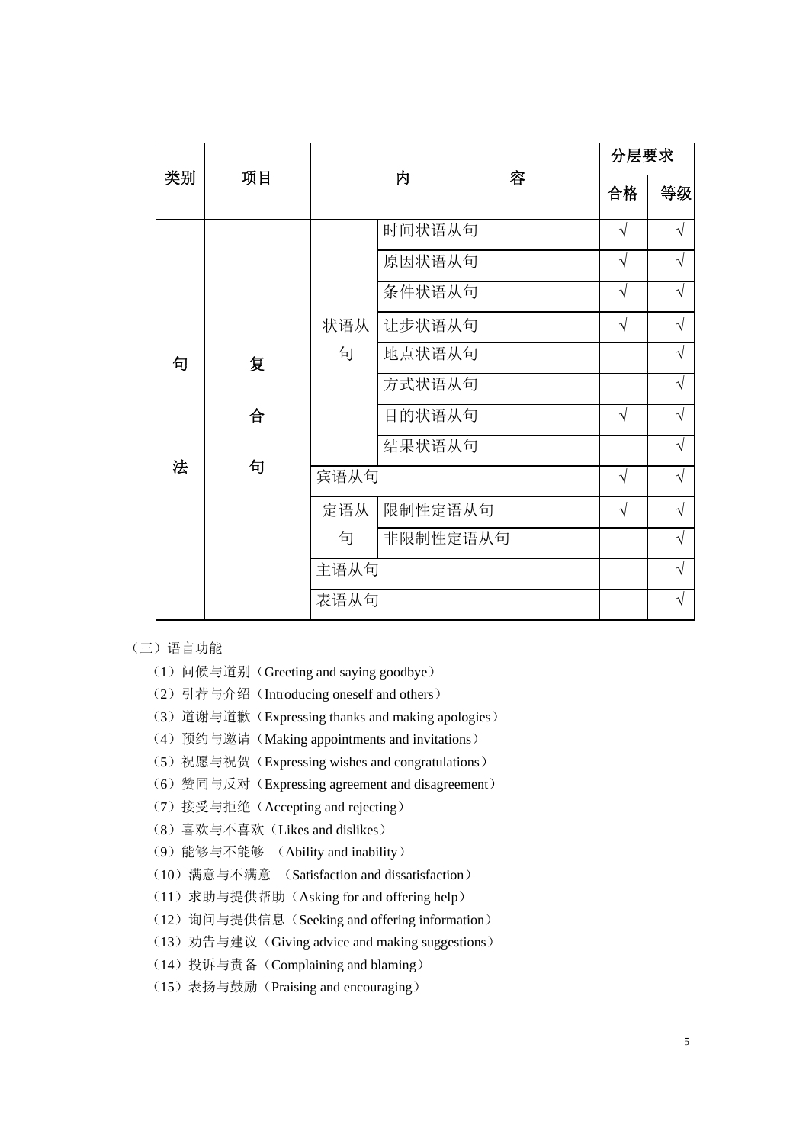|    |    |      |          | 分层要求       |            |
|----|----|------|----------|------------|------------|
| 类别 | 项目 |      | 容<br>内   | 合格         | 等级         |
|    |    |      | 时间状语从句   | $\sqrt{ }$ | $\sqrt{}$  |
|    |    |      | 原因状语从句   | $\sqrt{ }$ | $\sqrt{}$  |
|    |    |      | 条件状语从句   | $\sqrt{}$  | $\sqrt{}$  |
|    |    | 状语从  | 让步状语从句   | $\sqrt{}$  | $\sqrt{}$  |
| 句  | 复  | 句    | 地点状语从句   |            | $\sqrt{}$  |
|    |    |      | 方式状语从句   |            | $\sqrt{}$  |
|    | 合  |      | 目的状语从句   | $\sqrt{ }$ | $\sqrt{}$  |
|    |    |      | 结果状语从句   |            | $\sqrt{}$  |
| 法  | 句  | 宾语从句 |          | $\sqrt{ }$ | $\sqrt{2}$ |
|    |    | 定语从  | 限制性定语从句  | $\sqrt{}$  | $\sqrt{}$  |
|    |    | 句    | 非限制性定语从句 |            | $\sqrt{}$  |
|    |    | 主语从句 |          |            | $\sqrt{}$  |
|    |    | 表语从句 |          |            | V          |

- (三)语言功能
	- (1) 问候与道别(Greeting and saying goodbye)
	- (2)引荐与介绍(Introducing oneself and others)
	- (3)道谢与道歉(Expressing thanks and making apologies)
	- (4)预约与邀请(Making appointments and invitations)
	- (5) 祝愿与祝贺 (Expressing wishes and congratulations)
	- (6)赞同与反对(Expressing agreement and disagreement)
	- (7)接受与拒绝(Accepting and rejecting)
	- (8)喜欢与不喜欢(Likes and dislikes)
	- (9)能够与不能够 (Ability and inability)
	- (10)满意与不满意 (Satisfaction and dissatisfaction)
	- (11) 求助与提供帮助(Asking for and offering help)
	- (12) 询问与提供信息(Seeking and offering information)
	- (13)劝告与建议(Giving advice and making suggestions)
	- (14)投诉与责备(Complaining and blaming)
	- (15)表扬与鼓励(Praising and encouraging)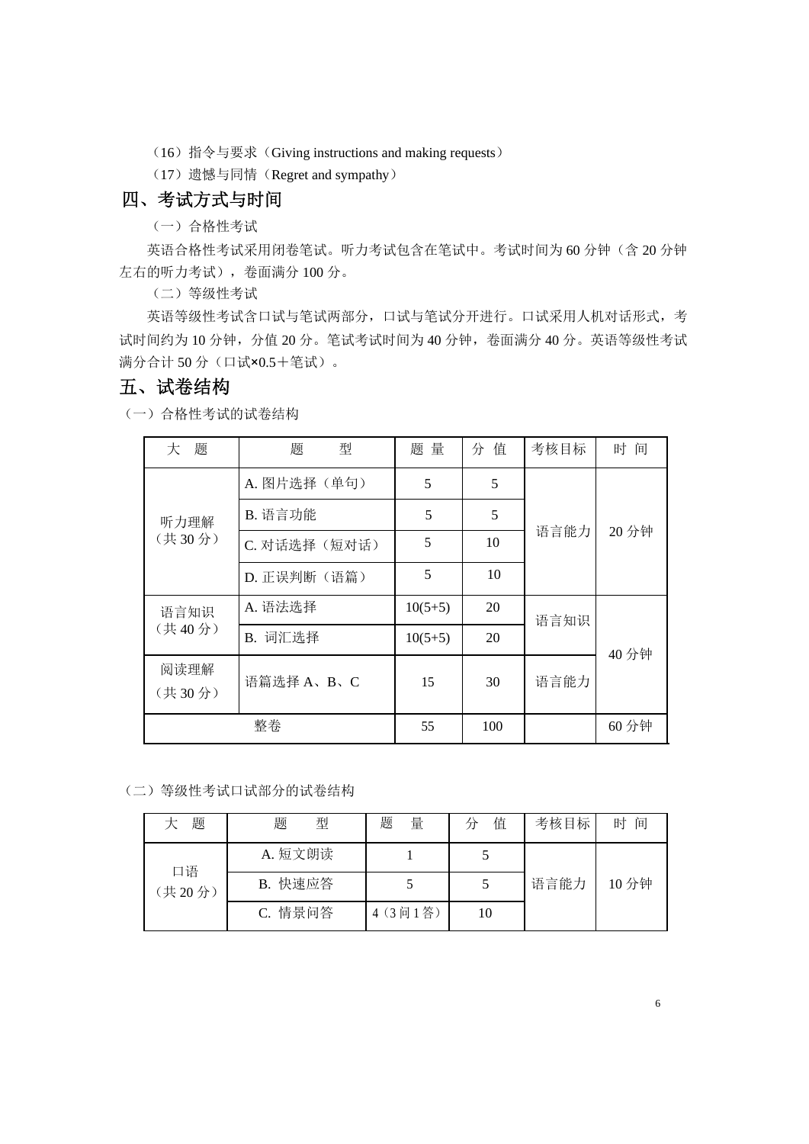- (16)指令与要求(Giving instructions and making requests)
- (17)遗憾与同情(Regret and sympathy)

# 四、考试方式与时间

(一)合格性考试

英语合格性考试采用闭卷笔试。听力考试包含在笔试中。考试时间为 60 分钟(含 20 分钟 左右的听力考试),卷面满分 100 分。

(二)等级性考试

英语等级性考试含口试与笔试两部分,口试与笔试分开进行。口试采用人机对话形式,考 试时间约为 10 分钟, 分值 20 分。笔试考试时间为 40 分钟, 卷面满分 40 分。英语等级性考试 满分合计 50 分(口试×0.5+笔试)。

# 五、试卷结构

(一)合格性考试的试卷结构

| 题<br>大         | 型<br>题       | 题量        | 分值  | 考核目标 | 时 间   |
|----------------|--------------|-----------|-----|------|-------|
|                | A. 图片选择(单句)  | 5         | 5   |      | 20 分钟 |
| 听力理解           | B. 语言功能      | 5         | 5   |      |       |
| (共30分)         | C. 对话选择(短对话) | 5         | 10  | 语言能力 |       |
|                | D. 正误判断(语篇)  | 5         | 10  |      |       |
| 语言知识           | A. 语法选择      | $10(5+5)$ | 20  | 语言知识 |       |
| (共40分)         | B. 词汇选择      | $10(5+5)$ | 20  |      | 40 分钟 |
| 阅读理解<br>(共30分) | 语篇选择 A、B、C   | 15        | 30  | 语言能力 |       |
|                | 整卷           | 55        | 100 |      | 60 分钟 |

(二)等级性考试口试部分的试卷结构

| 题      | 题<br>型  | 题<br>量   | 值<br>ΉŤ | 考核目标 | 间<br>时 |
|--------|---------|----------|---------|------|--------|
| 口语     | A. 短文朗读 |          |         |      |        |
| (共20分) | B. 快速应答 |          |         | 语言能力 | 10 分钟  |
|        | C. 情景问答 | 4 (3间1答) | 10      |      |        |

6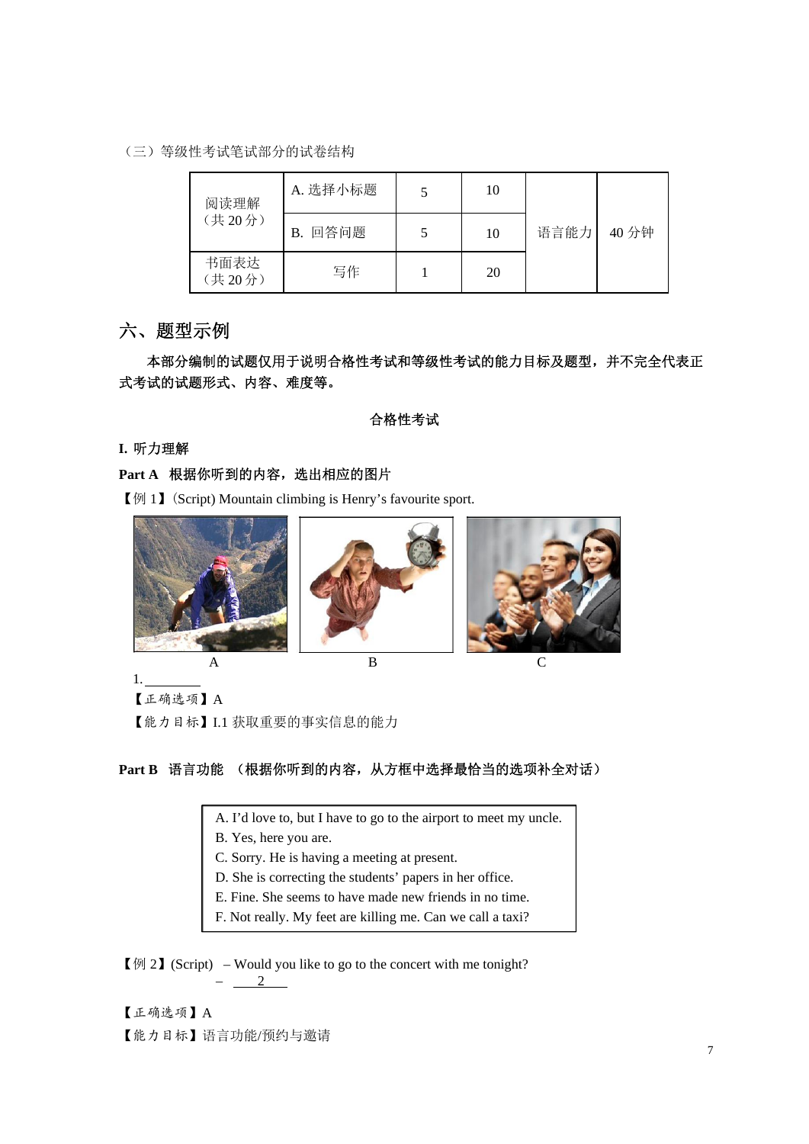(三)等级性考试笔试部分的试卷结构

| 阅读理解           | A. 选择小标题   | 10 |      |       |
|----------------|------------|----|------|-------|
| (共20分)         | 回答问题<br>В. | 10 | 语言能力 | 40 分钟 |
| 书面表达<br>(共20分) | 写作         | 20 |      |       |

# 六、题型示例

本部分编制的试题仅用于说明合格性考试和等级性考试的能力目标及题型,并不完全代表正 式考试的试题形式、内容、难度等。

## 合格性考试

**I.** 听力理解

## **Part A** 根据你听到的内容,选出相应的图片

【例 1】(Script) Mountain climbing is Henry's favourite sport.



1.

【正确选项】A

【能力目标】I.1 获取重要的事实信息的能力

# **Part B** 语言功能 (根据你听到的内容,从方框中选择最恰当的选项补全对话)

A. I'd love to, but I have to go to the airport to meet my uncle.

B. Yes, here you are.

- C. Sorry. He is having a meeting at present.
- D. She is correcting the students' papers in her office.
- E. Fine. She seems to have made new friends in no time.
- F. Not really. My feet are killing me. Can we call a taxi?

【例 2】(Script) – Would you like to go to the concert with me tonight? – 2

【正确选项】A 【能力目标】语言功能/预约与邀请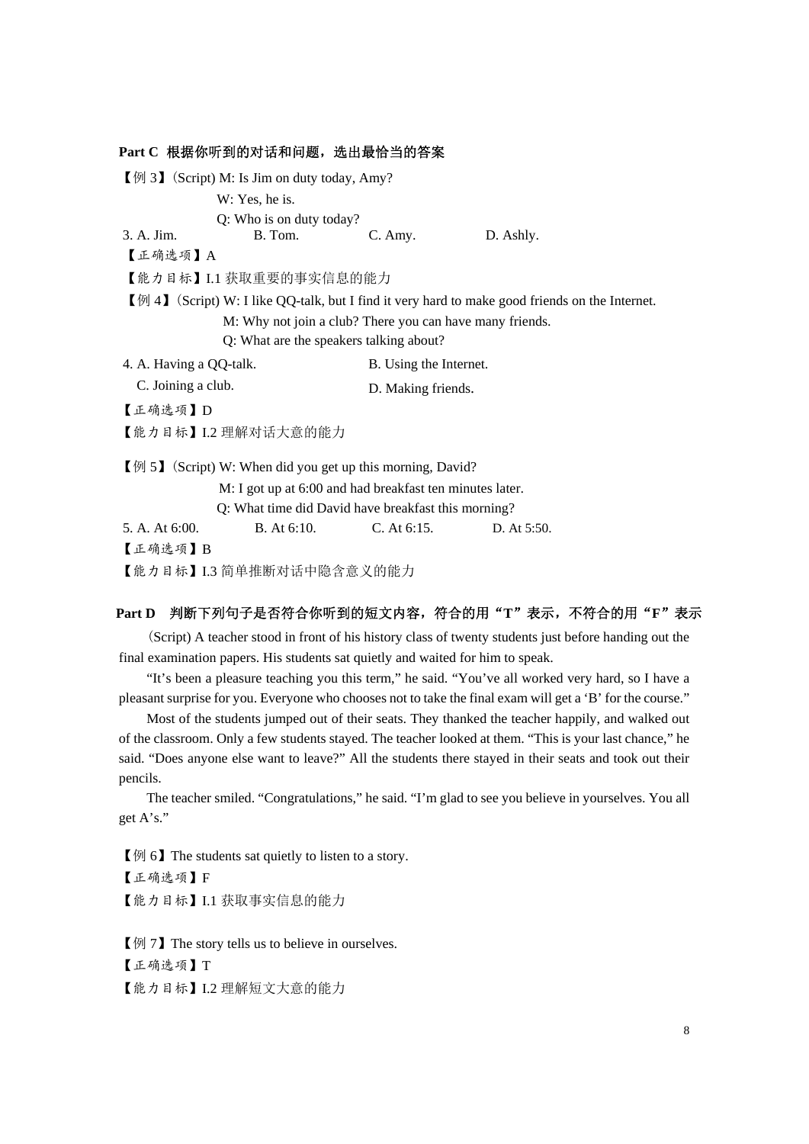|                         | Part C 根据你听到的对话和问题, 选出最恰当的答案                                                         |                        |                                                                                                                    |  |
|-------------------------|--------------------------------------------------------------------------------------|------------------------|--------------------------------------------------------------------------------------------------------------------|--|
|                         | 【例 3】 (Script) M: Is Jim on duty today, Amy?                                         |                        |                                                                                                                    |  |
|                         | W: Yes, he is.                                                                       |                        |                                                                                                                    |  |
|                         | Q: Who is on duty today?                                                             |                        |                                                                                                                    |  |
| 3. A. Jim.              | B. Tom.                                                                              | C. Amy.                | D. Ashly.                                                                                                          |  |
| 【正确选项】A                 |                                                                                      |                        |                                                                                                                    |  |
|                         | 【能力目标】I.1 获取重要的事实信息的能力                                                               |                        |                                                                                                                    |  |
|                         |                                                                                      |                        | $\llbracket \phi \rVert$ (Script) W: I like QQ-talk, but I find it very hard to make good friends on the Internet. |  |
|                         | M: Why not join a club? There you can have many friends.                             |                        |                                                                                                                    |  |
|                         | Q: What are the speakers talking about?                                              |                        |                                                                                                                    |  |
| 4. A. Having a QQ-talk. |                                                                                      | B. Using the Internet. |                                                                                                                    |  |
| C. Joining a club.      |                                                                                      | D. Making friends.     |                                                                                                                    |  |
| 【正确选项】D                 |                                                                                      |                        |                                                                                                                    |  |
|                         | 【能力目标】I.2 理解对话大意的能力                                                                  |                        |                                                                                                                    |  |
|                         | $\llbracket \varnothing \rceil$ (Script) W: When did you get up this morning, David? |                        |                                                                                                                    |  |
|                         | M: I got up at 6:00 and had breakfast ten minutes later.                             |                        |                                                                                                                    |  |
|                         | Q: What time did David have breakfast this morning?                                  |                        |                                                                                                                    |  |
| 5. A. At 6:00.          | B. At 6:10.                                                                          | $C.$ At $6:15.$        | D. At 5:50.                                                                                                        |  |
| 【正确选项】B                 |                                                                                      |                        |                                                                                                                    |  |
|                         | 【能力目标】I.3 简单推断对话中隐含意义的能力                                                             |                        |                                                                                                                    |  |

# **Part D** 判断下列句子是否符合你听到的短文内容,符合的用"**T**"表示,不符合的用"**F**"表示

(Script) A teacher stood in front of his history class of twenty students just before handing out the final examination papers. His students sat quietly and waited for him to speak.

"It's been a pleasure teaching you this term," he said. "You've all worked very hard, so I have a pleasant surprise for you. Everyone who chooses not to take the final exam will get a 'B' for the course."

Most of the students jumped out of their seats. They thanked the teacher happily, and walked out of the classroom. Only a few students stayed. The teacher looked at them. "This is your last chance," he said. "Does anyone else want to leave?" All the students there stayed in their seats and took out their pencils.

The teacher smiled. "Congratulations," he said. "I'm glad to see you believe in yourselves. You all get A's."

【例 6】The students sat quietly to listen to a story. 【正确选项】F 【能力目标】I.1 获取事实信息的能力

【例 7】The story tells us to believe in ourselves. 【正确选项】T 【能力目标】I.2 理解短文大意的能力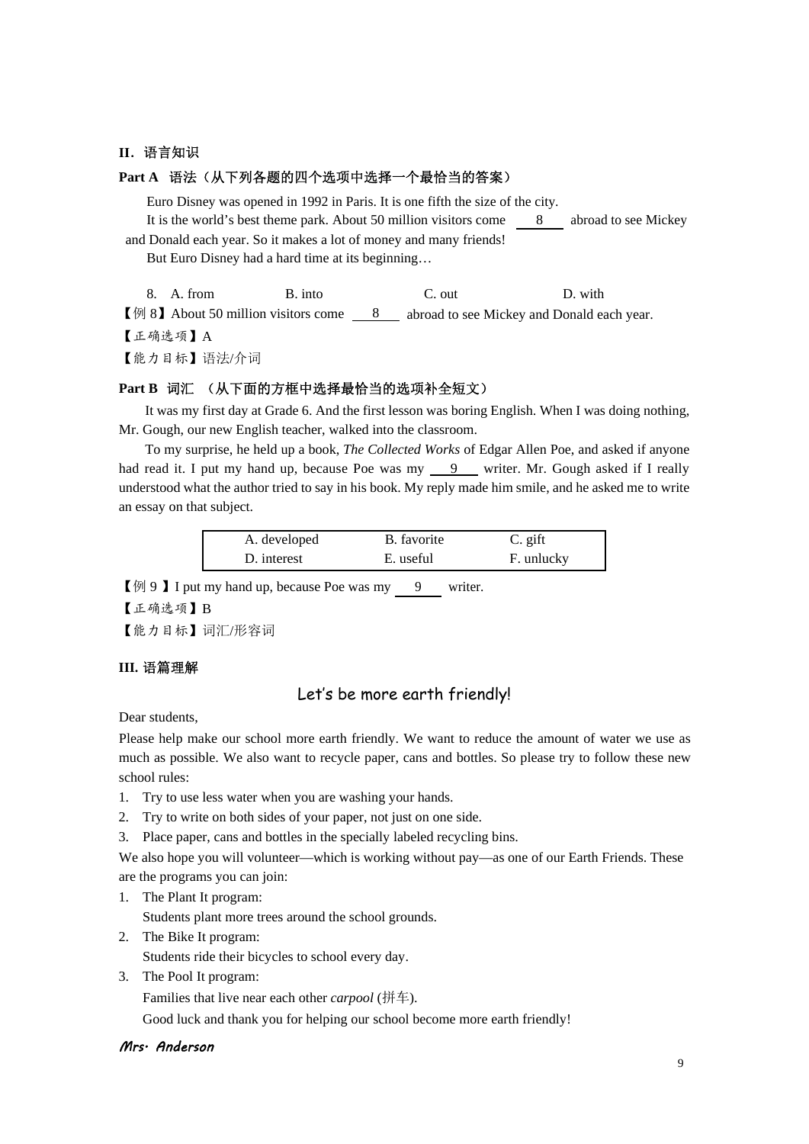#### **II**.语言知识

#### **Part A** 语法(从下列各题的四个选项中选择一个最恰当的答案)

Euro Disney was opened in 1992 in Paris. It is one fifth the size of the city. It is the world's best theme park. About 50 million visitors come 8 abroad to see Mickey and Donald each year. So it makes a lot of money and many friends! But Euro Disney had a hard time at its beginning…

8. A. from B. into B. out D. with

【例 8】About 50 million visitors come 8 abroad to see Mickey and Donald each year.

【正确选项】A

【能力目标】语法/介词

# **Part B** 词汇 (从下面的方框中选择最恰当的选项补全短文)

It was my first day at Grade 6. And the first lesson was boring English. When I was doing nothing, Mr. Gough, our new English teacher, walked into the classroom.

To my surprise, he held up a book, *The Collected Works* of Edgar Allen Poe, and asked if anyone had read it. I put my hand up, because Poe was my 9 writer. Mr. Gough asked if I really understood what the author tried to say in his book. My reply made him smile, and he asked me to write an essay on that subject.

| A. developed | B. favorite | C. gift    |
|--------------|-------------|------------|
| D. interest  | E. useful   | F. unlucky |

【例 9 】I put my hand up, because Poe was my 9 writer.

【正确选项】B

【能力目标】词汇/形容词

#### **III.** 语篇理解

# Let's be more earth friendly!

Dear students,

Please help make our school more earth friendly. We want to reduce the amount of water we use as much as possible. We also want to recycle paper, cans and bottles. So please try to follow these new school rules:

- 1. Try to use less water when you are washing your hands.
- 2. Try to write on both sides of your paper, not just on one side.
- 3. Place paper, cans and bottles in the specially labeled recycling bins.

We also hope you will volunteer—which is working without pay—as one of our Earth Friends. These are the programs you can join:

1. The Plant It program:

Students plant more trees around the school grounds.

2. The Bike It program:

Students ride their bicycles to school every day.

3. The Pool It program:

Families that live near each other *carpool* (拼车).

Good luck and thank you for helping our school become more earth friendly!

#### Mrs. Anderson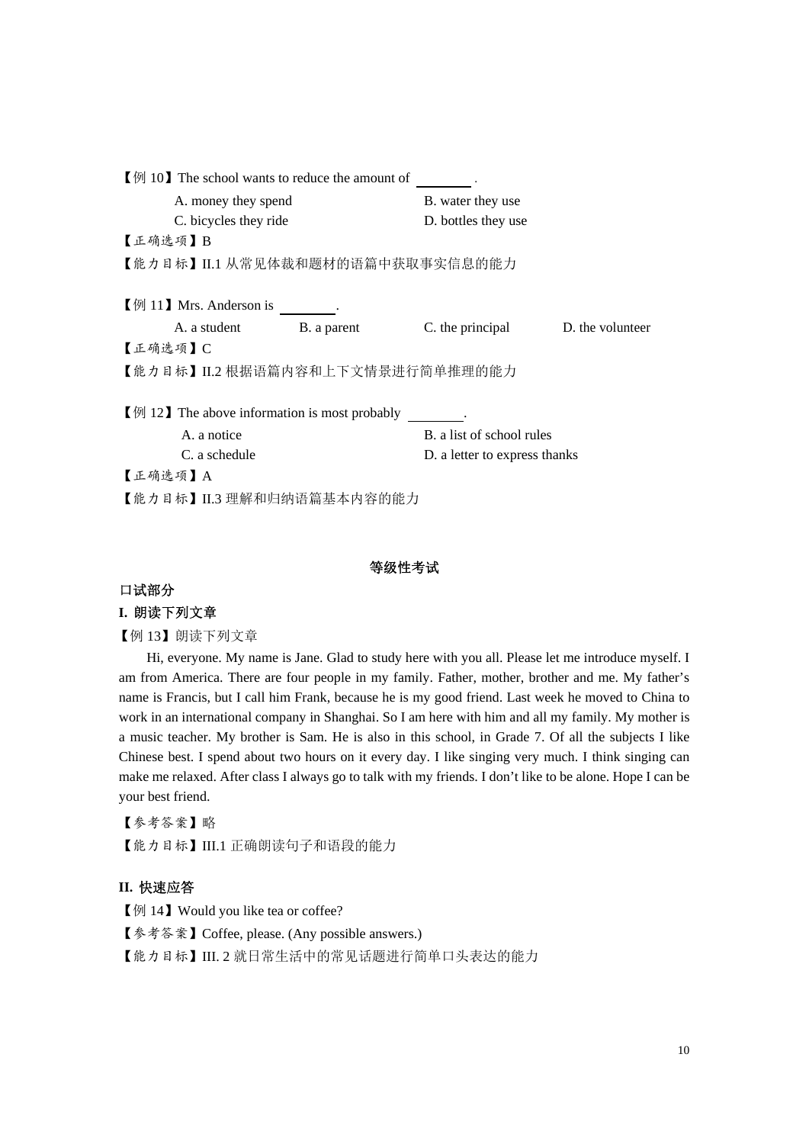| $\llbracket \varphi \rbracket$ 10 The school wants to reduce the amount of |                                                                             |                               |                  |  |  |
|----------------------------------------------------------------------------|-----------------------------------------------------------------------------|-------------------------------|------------------|--|--|
| A. money they spend                                                        |                                                                             | B. water they use             |                  |  |  |
| C. bicycles they ride                                                      |                                                                             | D. bottles they use           |                  |  |  |
| 【正确选项】B                                                                    |                                                                             |                               |                  |  |  |
|                                                                            | 【能力日标】II.1 从常见体裁和题材的语篇中获取事实信息的能力                                            |                               |                  |  |  |
|                                                                            |                                                                             |                               |                  |  |  |
| $[\frac{m}{2}]$ 11 Mrs. Anderson is                                        |                                                                             |                               |                  |  |  |
| A. a student                                                               | B. a parent                                                                 | C. the principal              | D. the volunteer |  |  |
| 【正确选项】C                                                                    |                                                                             |                               |                  |  |  |
|                                                                            | 【能力日标】II.2 根据语篇内容和上下文情景进行简单推理的能力                                            |                               |                  |  |  |
|                                                                            |                                                                             |                               |                  |  |  |
|                                                                            | $\llbracket \varnothing \rbrack$ 12) The above information is most probably |                               |                  |  |  |
| A. a notice                                                                |                                                                             | B. a list of school rules     |                  |  |  |
| C. a schedule                                                              |                                                                             | D. a letter to express thanks |                  |  |  |
| 【正确选项】A                                                                    |                                                                             |                               |                  |  |  |
|                                                                            | 【能力目标】II.3 理解和归纳语篇基本内容的能力                                                   |                               |                  |  |  |

#### 等级性考试

## 口试部分

## **I.** 朗读下列文章

【例 13】朗读下列文章

Hi, everyone. My name is Jane. Glad to study here with you all. Please let me introduce myself. I am from America. There are four people in my family. Father, mother, brother and me. My father's name is Francis, but I call him Frank, because he is my good friend. Last week he moved to China to work in an international company in Shanghai. So I am here with him and all my family. My mother is a music teacher. My brother is Sam. He is also in this school, in Grade 7. Of all the subjects I like Chinese best. I spend about two hours on it every day. I like singing very much. I think singing can make me relaxed. After class I always go to talk with my friends. I don't like to be alone. Hope I can be your best friend.

【参考答案】略 【能力目标】III.1 正确朗读句子和语段的能力

### **II.** 快速应答

【例 14】 Would you like tea or coffee?

【参考答案】Coffee, please. (Any possible answers.)

【能力目标】III. 2 就日常生活中的常见话题进行简单口头表达的能力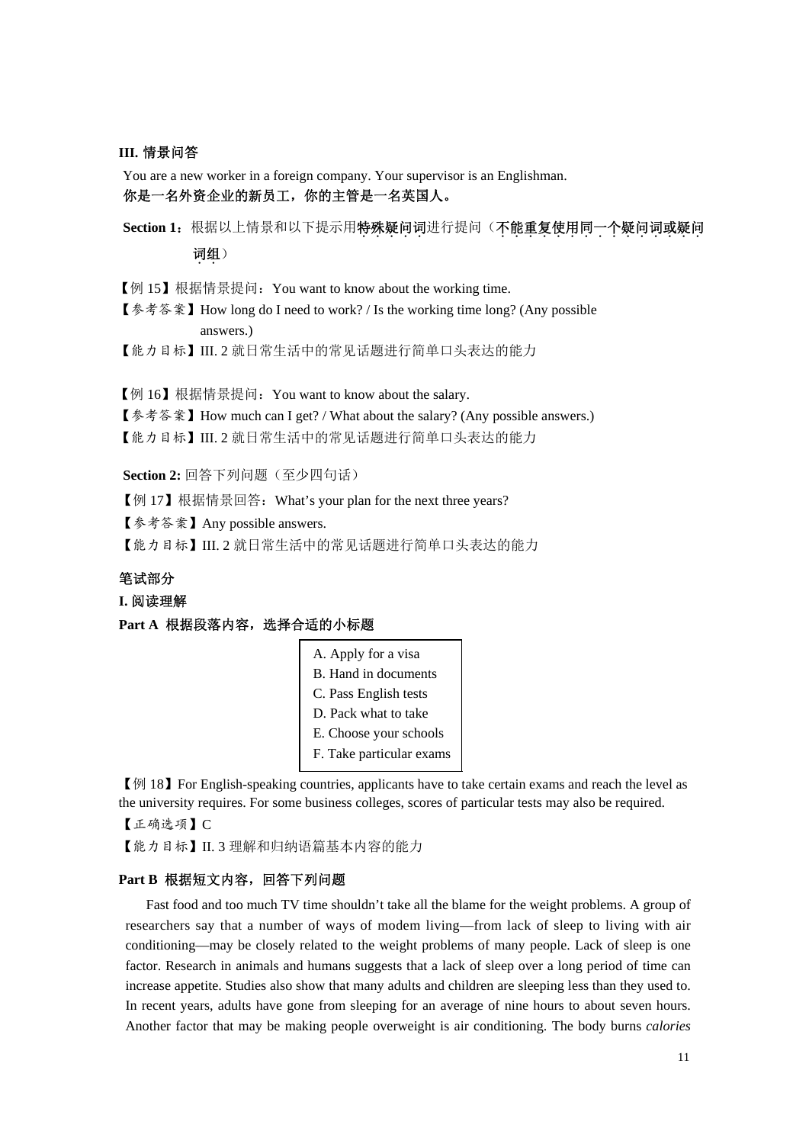#### **III.** 情景问答

You are a new worker in a foreign company. Your supervisor is an Englishman. 你是一名外资企业的新员工,你的主管是一名英国人。

Section 1: 根据以上情景和以下提示用特殊疑问词进行提问(不能重复使用同一个疑问词或疑问 词组)

【例 15】根据情景提问:You want to know about the working time.

【参考答案】How long do I need to work? / Is the working time long? (Any possible answers.)

【能力目标】III. 2 就日常生活中的常见话题进行简单口头表达的能力

【例 16】根据情景提问:You want to know about the salary.

【参考答案】How much can I get? / What about the salary? (Any possible answers.)

【能力目标】III. 2 就日常生活中的常见话题进行简单口头表达的能力

**Section 2:** 回答下列问题(至少四句话)

【例 17】根据情景回答:What's your plan for the next three years?

【参考答案】Any possible answers.

【能力目标】III. 2 就日常生活中的常见话题进行简单口头表达的能力

# 笔试部分

#### **I.** 阅读理解

**Part A** 根据段落内容,选择合适的小标题

| A. Apply for a visa      |
|--------------------------|
| B. Hand in documents     |
| C. Pass English tests    |
| D. Pack what to take     |
| E. Choose your schools   |
| F. Take particular exams |

【例 18】For English-speaking countries, applicants have to take certain exams and reach the level as the university requires. For some business colleges, scores of particular tests may also be required. 【正确选项】C

【能力目标】II. 3 理解和归纳语篇基本内容的能力

#### **Part B** 根据短文内容,回答下列问题

Fast food and too much TV time shouldn't take all the blame for the weight problems. A group of researchers say that a number of ways of modem living—from lack of sleep to living with air conditioning—may be closely related to the weight problems of many people. Lack of sleep is one factor. Research in animals and humans suggests that a lack of sleep over a long period of time can increase appetite. Studies also show that many adults and children are sleeping less than they used to. In recent years, adults have gone from sleeping for an average of nine hours to about seven hours. Another factor that may be making people overweight is air conditioning. The body burns *calories*